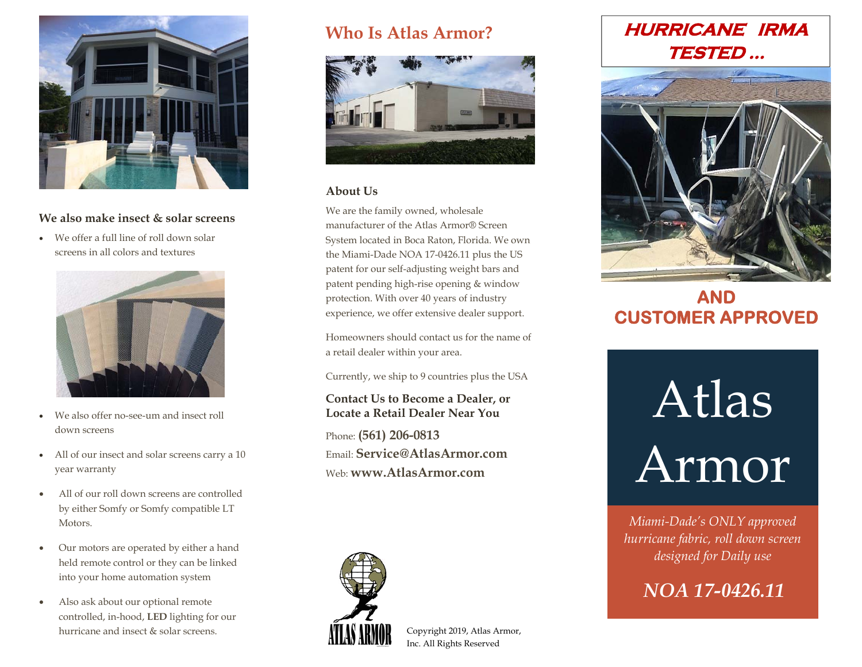

## **We also make insect & solar screens**

O We offer a full line of roll down solar screens in all colors and textures



- $\bullet$  We also offer no-see-um and insect roll down screens
- All of our insect and solar screens carry a 10 year warranty
- $\bullet$  All of our roll down screens are controlled by either Somfy or Somfy compatible LT Motors.
- $\bullet$  Our motors are operated by either a hand held remote control or they can be linked into your home automation system
- $\bullet$  Also ask about our optional remote controlled, in-hood, **LED** lighting for our hurricane and insect & solar screens.

## **Who Is Atlas Armor?**



## **About Us**

We are the family owned, wholesale manufacturer of the Atlas Armor® Screen System located in Boca Raton, Florida. We own the Miami-Dade NOA 17-0426.11 plus the US patent for our self-adjusting weight bars and patent pending high-rise opening & window protection. With over 40 years of industry experience, we offer extensive dealer support.

Homeowners should contact us for the name of a retail dealer within your area.

Currently, we ship to 9 countries plus the USA

## **Contact Us to Become a Dealer, or Locate a Retail Dealer Near You**

Phone: **(561) 206-0813** Email: **Service@AtlasArmor.com**Web: **www.AtlasArmor.com**



Copyright 2019, Atlas Armor, Inc. All Rights Reserved

## **HURRICANE IRMA TESTED …**



## **AND CUSTOMER APPROVED**

# Atlas Armor

*Miami-Dade's ONLY approved hurricane fabric, roll down screen designed for Daily use* 

*NOA 17-0426.11*